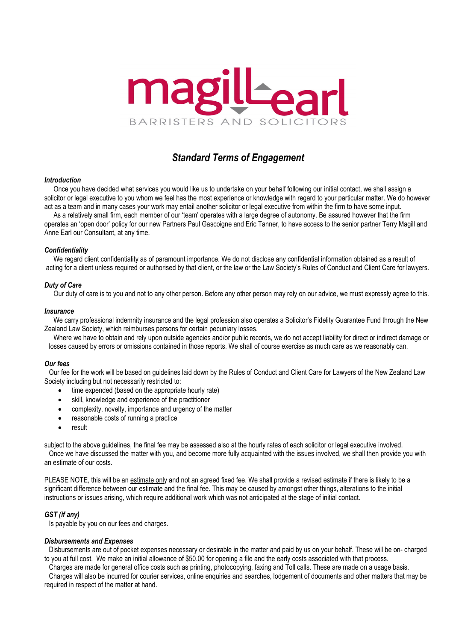

# *Standard Terms of Engagement*

# *Introduction*

Once you have decided what services you would like us to undertake on your behalf following our initial contact, we shall assign a solicitor or legal executive to you whom we feel has the most experience or knowledge with regard to your particular matter. We do however act as a team and in many cases your work may entail another solicitor or legal executive from within the firm to have some input.

As a relatively small firm, each member of our 'team' operates with a large degree of autonomy. Be assured however that the firm operates an 'open door' policy for our new Partners Paul Gascoigne and Eric Tanner, to have access to the senior partner Terry Magill and Anne Earl our Consultant, at any time.

## *Confidentiality*

We regard client confidentiality as of paramount importance. We do not disclose any confidential information obtained as a result of acting for a client unless required or authorised by that client, or the law or the Law Society's Rules of Conduct and Client Care for lawyers.

## *Duty of Care*

Our duty of care is to you and not to any other person. Before any other person may rely on our advice, we must expressly agree to this.

## *Insurance*

We carry professional indemnity insurance and the legal profession also operates a Solicitor's Fidelity Guarantee Fund through the New Zealand Law Society, which reimburses persons for certain pecuniary losses.

Where we have to obtain and rely upon outside agencies and/or public records, we do not accept liability for direct or indirect damage or losses caused by errors or omissions contained in those reports. We shall of course exercise as much care as we reasonably can.

## *Our fees*

Our fee for the work will be based on guidelines laid down by the Rules of Conduct and Client Care for Lawyers of the New Zealand Law Society including but not necessarily restricted to:

- time expended (based on the appropriate hourly rate)
- skill, knowledge and experience of the practitioner
- complexity, novelty, importance and urgency of the matter
- reasonable costs of running a practice
- result

subject to the above guidelines, the final fee may be assessed also at the hourly rates of each solicitor or legal executive involved. Once we have discussed the matter with you, and become more fully acquainted with the issues involved, we shall then provide you with an estimate of our costs.

PLEASE NOTE, this will be an estimate only and not an agreed fixed fee. We shall provide a revised estimate if there is likely to be a significant difference between our estimate and the final fee. This may be caused by amongst other things, alterations to the initial instructions or issues arising, which require additional work which was not anticipated at the stage of initial contact.

# *GST (if any)*

Is payable by you on our fees and charges.

## *Disbursements and Expenses*

Disbursements are out of pocket expenses necessary or desirable in the matter and paid by us on your behalf. These will be on- charged to you at full cost. We make an initial allowance of \$50.00 for opening a file and the early costs associated with that process.

Charges are made for general office costs such as printing, photocopying, faxing and Toll calls. These are made on a usage basis.

Charges will also be incurred for courier services, online enquiries and searches, lodgement of documents and other matters that may be required in respect of the matter at hand.